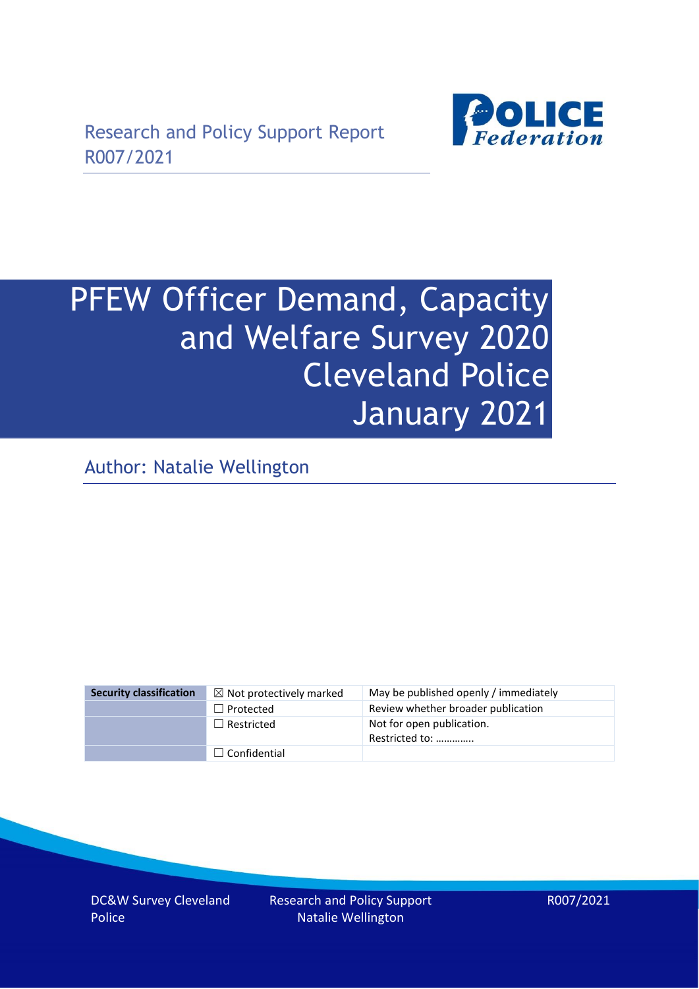

# PFEW Officer Demand, Capacity and Welfare Survey 2020 Cleveland Police January 2021

Author: Natalie Wellington

| Security classification | $\boxtimes$ Not protectively marked | May be published openly / immediately       |
|-------------------------|-------------------------------------|---------------------------------------------|
|                         | $\Box$ Protected                    | Review whether broader publication          |
|                         | $\Box$ Restricted                   | Not for open publication.<br>Restricted to: |
|                         | $\Box$ Confidential                 |                                             |

DC&W Survey Cleveland Police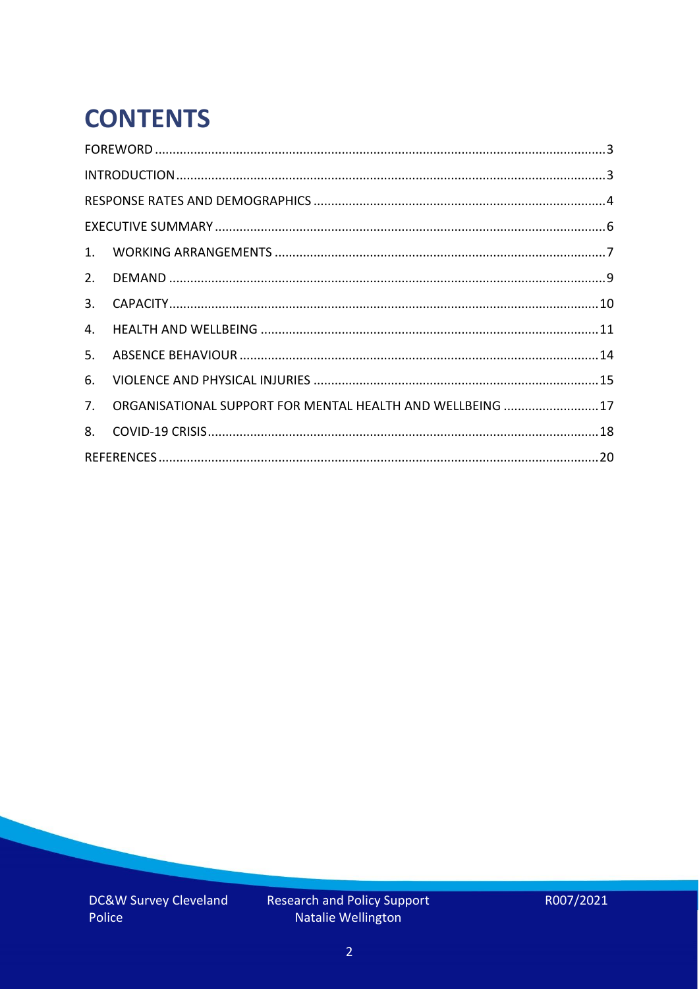# **CONTENTS**

| 2.          |                                                            |  |
|-------------|------------------------------------------------------------|--|
| 3.          |                                                            |  |
| 4.          |                                                            |  |
| 5.          |                                                            |  |
| 6.          |                                                            |  |
| $7_{\cdot}$ | ORGANISATIONAL SUPPORT FOR MENTAL HEALTH AND WELLBEING  17 |  |
| 8.          |                                                            |  |
|             |                                                            |  |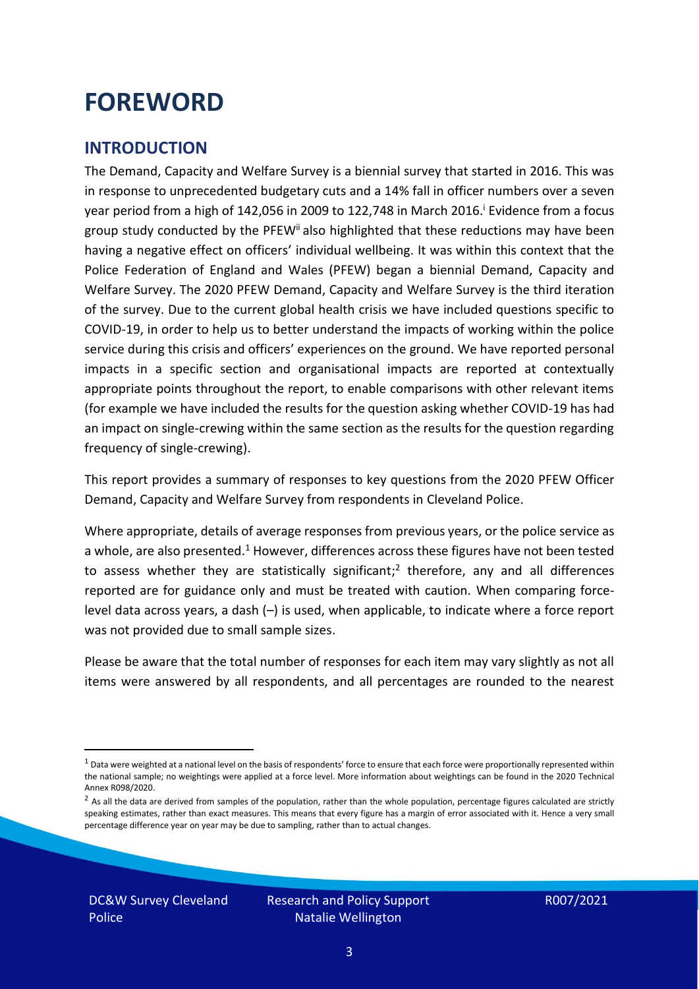### <span id="page-2-0"></span>**FOREWORD**

#### <span id="page-2-1"></span>**INTRODUCTION**

The Demand, Capacity and Welfare Survey is a biennial survey that started in 2016. This was in response to unprecedented budgetary cuts and a 14% fall in officer numbers over a seven year period from a high of 142,056 in 2009 to 122,748 in March 2016. <sup>i</sup> Evidence from a focus group study conducted by the PFEW<sup>ii</sup> also highlighted that these reductions may have been having a negative effect on officers' individual wellbeing. It was within this context that the Police Federation of England and Wales (PFEW) began a biennial Demand, Capacity and Welfare Survey. The 2020 PFEW Demand, Capacity and Welfare Survey is the third iteration of the survey. Due to the current global health crisis we have included questions specific to COVID-19, in order to help us to better understand the impacts of working within the police service during this crisis and officers' experiences on the ground. We have reported personal impacts in a specific section and organisational impacts are reported at contextually appropriate points throughout the report, to enable comparisons with other relevant items (for example we have included the results for the question asking whether COVID-19 has had an impact on single-crewing within the same section as the results for the question regarding frequency of single-crewing).

This report provides a summary of responses to key questions from the 2020 PFEW Officer Demand, Capacity and Welfare Survey from respondents in Cleveland Police.

Where appropriate, details of average responses from previous years, or the police service as a whole, are also presented.<sup>1</sup> However, differences across these figures have not been tested to assess whether they are statistically significant;<sup>2</sup> therefore, any and all differences reported are for guidance only and must be treated with caution. When comparing forcelevel data across years, a dash (–) is used, when applicable, to indicate where a force report was not provided due to small sample sizes.

Please be aware that the total number of responses for each item may vary slightly as not all items were answered by all respondents, and all percentages are rounded to the nearest

DC&W Survey Cleveland Police

 $1$  Data were weighted at a national level on the basis of respondents' force to ensure that each force were proportionally represented within the national sample; no weightings were applied at a force level. More information about weightings can be found in the 2020 Technical Annex R098/2020.

 $2$  As all the data are derived from samples of the population, rather than the whole population, percentage figures calculated are strictly speaking estimates, rather than exact measures. This means that every figure has a margin of error associated with it. Hence a very small percentage difference year on year may be due to sampling, rather than to actual changes.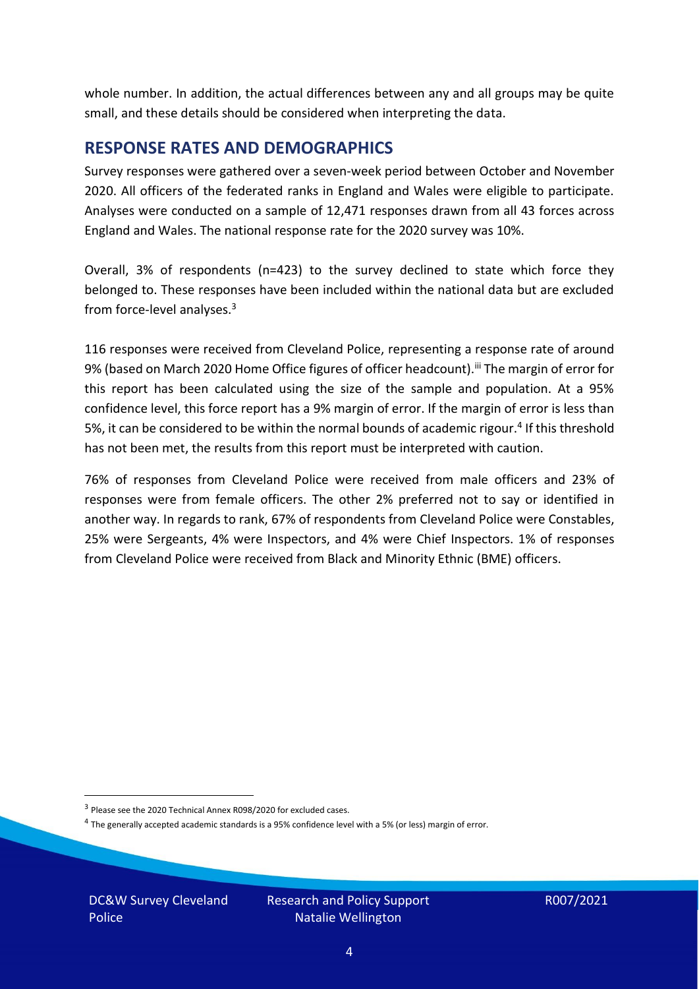whole number. In addition, the actual differences between any and all groups may be quite small, and these details should be considered when interpreting the data.

#### <span id="page-3-0"></span>**RESPONSE RATES AND DEMOGRAPHICS**

Survey responses were gathered over a seven-week period between October and November 2020. All officers of the federated ranks in England and Wales were eligible to participate. Analyses were conducted on a sample of 12,471 responses drawn from all 43 forces across England and Wales. The national response rate for the 2020 survey was 10%.

Overall, 3% of respondents (n=423) to the survey declined to state which force they belonged to. These responses have been included within the national data but are excluded from force-level analyses.<sup>3</sup>

116 responses were received from Cleveland Police, representing a response rate of around 9% (based on March 2020 Home Office figures of officer headcount).<sup>iii</sup> The margin of error for this report has been calculated using the size of the sample and population. At a 95% confidence level, this force report has a 9% margin of error. If the margin of error is less than 5%, it can be considered to be within the normal bounds of academic rigour.<sup>4</sup> If this threshold has not been met, the results from this report must be interpreted with caution.

76% of responses from Cleveland Police were received from male officers and 23% of responses were from female officers. The other 2% preferred not to say or identified in another way. In regards to rank, 67% of respondents from Cleveland Police were Constables, 25% were Sergeants, 4% were Inspectors, and 4% were Chief Inspectors. 1% of responses from Cleveland Police were received from Black and Minority Ethnic (BME) officers.

DC&W Survey Cleveland Police

<sup>&</sup>lt;sup>3</sup> Please see the 2020 Technical Annex R098/2020 for excluded cases.

<sup>&</sup>lt;sup>4</sup> The generally accepted academic standards is a 95% confidence level with a 5% (or less) margin of error.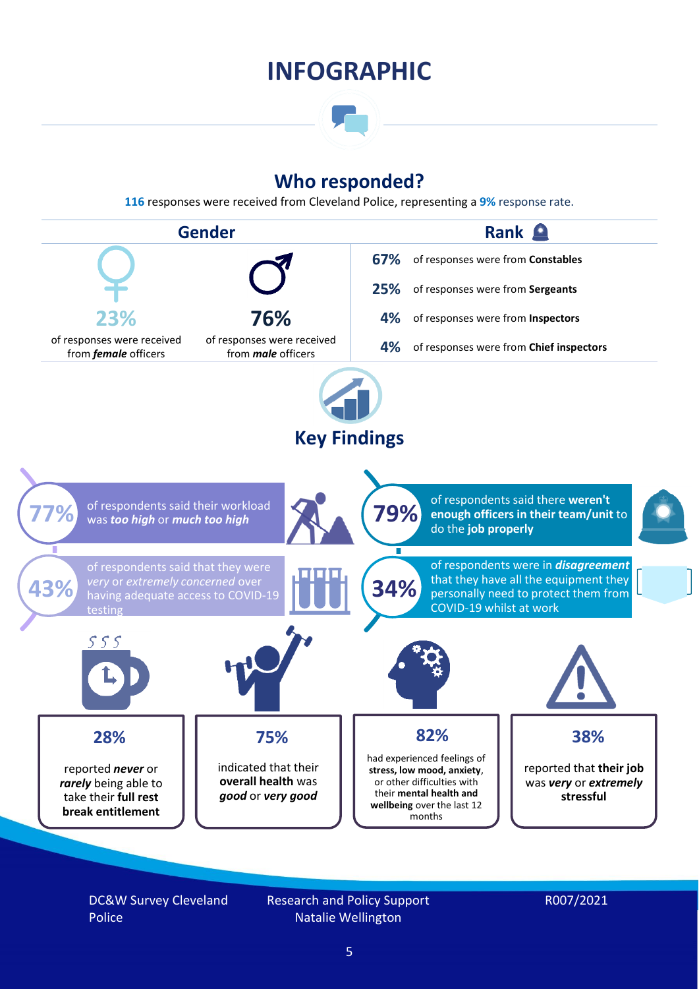### **INFOGRAPHIC**

### **Who responded?**

**116** responses were received from Cleveland Police, representing a **9%** response rate.



DC&W Survey Cleveland Police

Research and Policy Support Natalie Wellington

#### R007/2021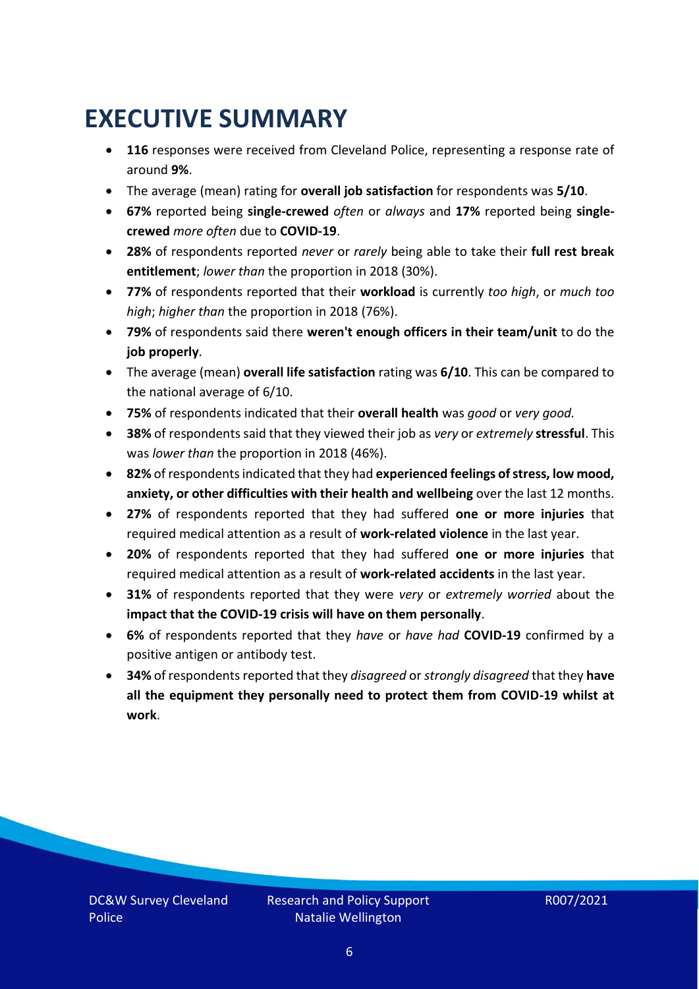### <span id="page-5-0"></span>**EXECUTIVE SUMMARY**

- **116** responses were received from Cleveland Police, representing a response rate of around **9%**.
- The average (mean) rating for **overall job satisfaction** for respondents was **5/10**.
- **67%** reported being **single-crewed** *often* or *always* and **17%** reported being **singlecrewed** *more often* due to **COVID-19**.
- **28%** of respondents reported *never* or *rarely* being able to take their **full rest break entitlement**; *lower than* the proportion in 2018 (30%).
- **77%** of respondents reported that their **workload** is currently *too high*, or *much too high*; *higher than* the proportion in 2018 (76%).
- **79%** of respondents said there **weren't enough officers in their team/unit** to do the **job properly**.
- The average (mean) **overall life satisfaction** rating was **6/10**. This can be compared to the national average of 6/10.
- **75%** of respondents indicated that their **overall health** was *good* or *very good.*
- **38%** of respondents said that they viewed their job as *very* or *extremely* **stressful**. This was *lower than* the proportion in 2018 (46%).
- **82%** of respondents indicated that they had **experienced feelings of stress, low mood, anxiety, or other difficulties with their health and wellbeing** over the last 12 months.
- **27%** of respondents reported that they had suffered **one or more injuries** that required medical attention as a result of **work-related violence** in the last year.
- **20%** of respondents reported that they had suffered **one or more injuries** that required medical attention as a result of **work-related accidents** in the last year.
- **31%** of respondents reported that they were *very* or *extremely worried* about the **impact that the COVID-19 crisis will have on them personally**.
- **6%** of respondents reported that they *have* or *have had* **COVID-19** confirmed by a positive antigen or antibody test.
- **34%** of respondents reported that they *disagreed* or *strongly disagreed* that they **have all the equipment they personally need to protect them from COVID-19 whilst at work**.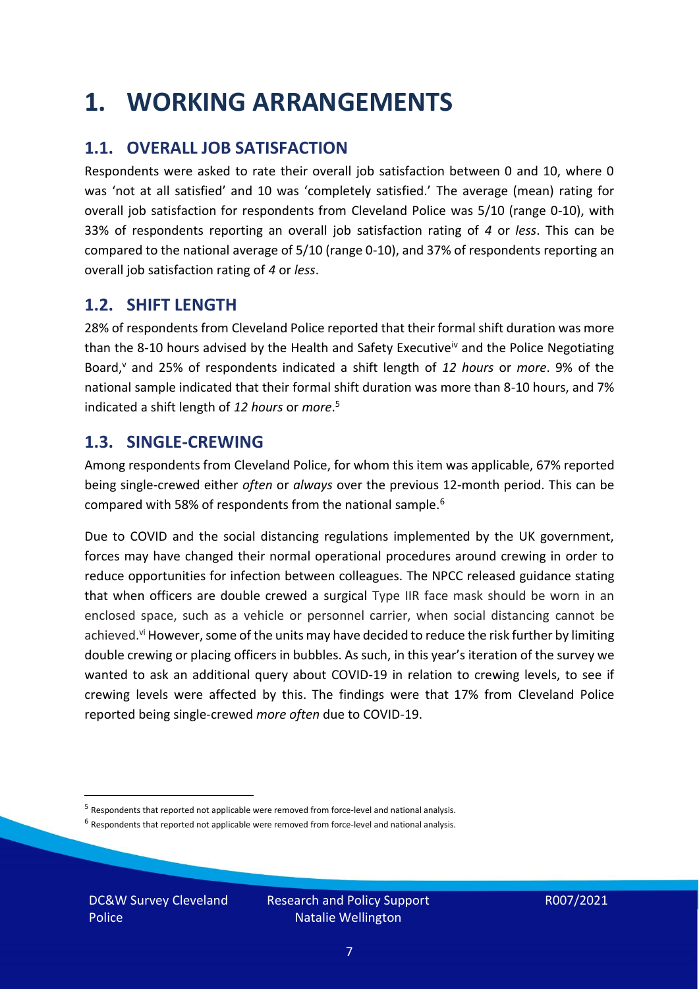### <span id="page-6-0"></span>**1. WORKING ARRANGEMENTS**

### **1.1. OVERALL JOB SATISFACTION**

Respondents were asked to rate their overall job satisfaction between 0 and 10, where 0 was 'not at all satisfied' and 10 was 'completely satisfied.' The average (mean) rating for overall job satisfaction for respondents from Cleveland Police was 5/10 (range 0-10), with 33% of respondents reporting an overall job satisfaction rating of *4* or *less*. This can be compared to the national average of 5/10 (range 0-10), and 37% of respondents reporting an overall job satisfaction rating of *4* or *less*.

#### **1.2. SHIFT LENGTH**

28% of respondents from Cleveland Police reported that their formal shift duration was more than the 8-10 hours advised by the Health and Safety Executive<sup>iv</sup> and the Police Negotiating Board,<sup>v</sup> and 25% of respondents indicated a shift length of 12 hours or more. 9% of the national sample indicated that their formal shift duration was more than 8-10 hours, and 7% indicated a shift length of *12 hours* or *more*. 5

#### **1.3. SINGLE-CREWING**

Among respondents from Cleveland Police, for whom this item was applicable, 67% reported being single-crewed either *often* or *always* over the previous 12-month period. This can be compared with 58% of respondents from the national sample.<sup>6</sup>

Due to COVID and the social distancing regulations implemented by the UK government, forces may have changed their normal operational procedures around crewing in order to reduce opportunities for infection between colleagues. The NPCC released guidance stating that when officers are double crewed a surgical Type IIR face mask should be worn in an enclosed space, such as a vehicle or personnel carrier, when social distancing cannot be achieved.<sup>vi</sup> However, some of the units may have decided to reduce the risk further by limiting double crewing or placing officers in bubbles. As such, in this year's iteration of the survey we wanted to ask an additional query about COVID-19 in relation to crewing levels, to see if crewing levels were affected by this. The findings were that 17% from Cleveland Police reported being single-crewed *more often* due to COVID-19.

 $<sup>6</sup>$  Respondents that reported not applicable were removed from force-level and national analysis.</sup>

DC&W Survey Cleveland Police

<sup>&</sup>lt;sup>5</sup> Respondents that reported not applicable were removed from force-level and national analysis.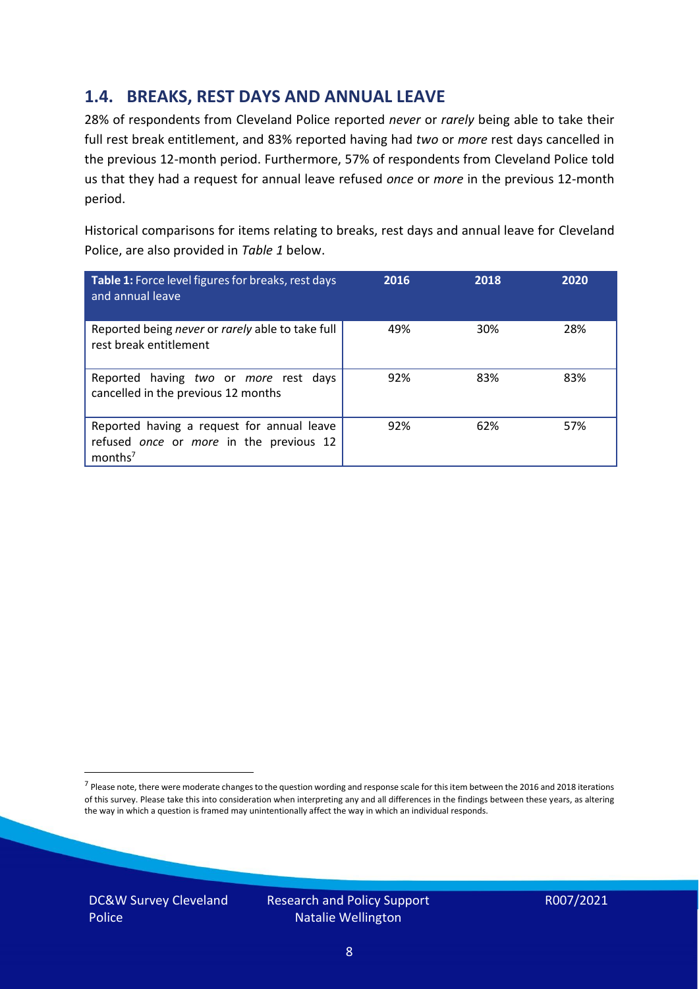#### **1.4. BREAKS, REST DAYS AND ANNUAL LEAVE**

28% of respondents from Cleveland Police reported *never* or *rarely* being able to take their full rest break entitlement, and 83% reported having had *two* or *more* rest days cancelled in the previous 12-month period. Furthermore, 57% of respondents from Cleveland Police told us that they had a request for annual leave refused *once* or *more* in the previous 12-month period.

Historical comparisons for items relating to breaks, rest days and annual leave for Cleveland Police, are also provided in *Table 1* below.

| Table 1: Force level figures for breaks, rest days<br>and annual leave                                       | 2016 | 2018 | 2020 |
|--------------------------------------------------------------------------------------------------------------|------|------|------|
| Reported being never or rarely able to take full<br>rest break entitlement                                   | 49%  | 30%  | 28%  |
| Reported having two or more rest days<br>cancelled in the previous 12 months                                 | 92%  | 83%  | 83%  |
| Reported having a request for annual leave<br>refused once or more in the previous 12<br>months <sup>7</sup> | 92%  | 62%  | 57%  |

DC&W Survey Cleveland Police



<sup>&</sup>lt;sup>7</sup> Please note, there were moderate changes to the question wording and response scale for this item between the 2016 and 2018 iterations of this survey. Please take this into consideration when interpreting any and all differences in the findings between these years, as altering the way in which a question is framed may unintentionally affect the way in which an individual responds.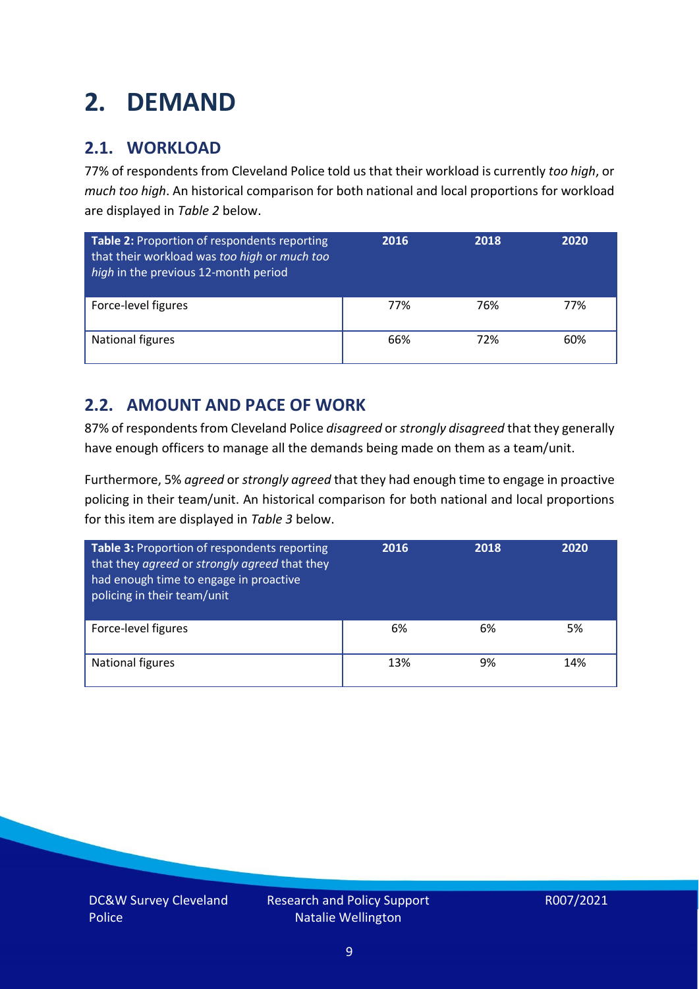# <span id="page-8-0"></span>**2. DEMAND**

### **2.1. WORKLOAD**

77% of respondents from Cleveland Police told us that their workload is currently *too high*, or *much too high*. An historical comparison for both national and local proportions for workload are displayed in *Table 2* below.

| Table 2: Proportion of respondents reporting<br>that their workload was too high or much too<br>high in the previous 12-month period | 2016 | 2018 | 2020 |
|--------------------------------------------------------------------------------------------------------------------------------------|------|------|------|
| Force-level figures                                                                                                                  | 77%  | 76%  | 77%  |
| National figures                                                                                                                     | 66%  | 72%  | 60%  |

### **2.2. AMOUNT AND PACE OF WORK**

87% of respondents from Cleveland Police *disagreed* or *strongly disagreed* that they generally have enough officers to manage all the demands being made on them as a team/unit.

Furthermore, 5% *agreed* or *strongly agreed* that they had enough time to engage in proactive policing in their team/unit. An historical comparison for both national and local proportions for this item are displayed in *Table 3* below.

| Table 3: Proportion of respondents reporting<br>that they agreed or strongly agreed that they<br>had enough time to engage in proactive<br>policing in their team/unit | 2016 | 2018 | 2020 |
|------------------------------------------------------------------------------------------------------------------------------------------------------------------------|------|------|------|
| Force-level figures                                                                                                                                                    | 6%   | 6%   | 5%   |
| <b>National figures</b>                                                                                                                                                | 13%  | 9%   | 14%  |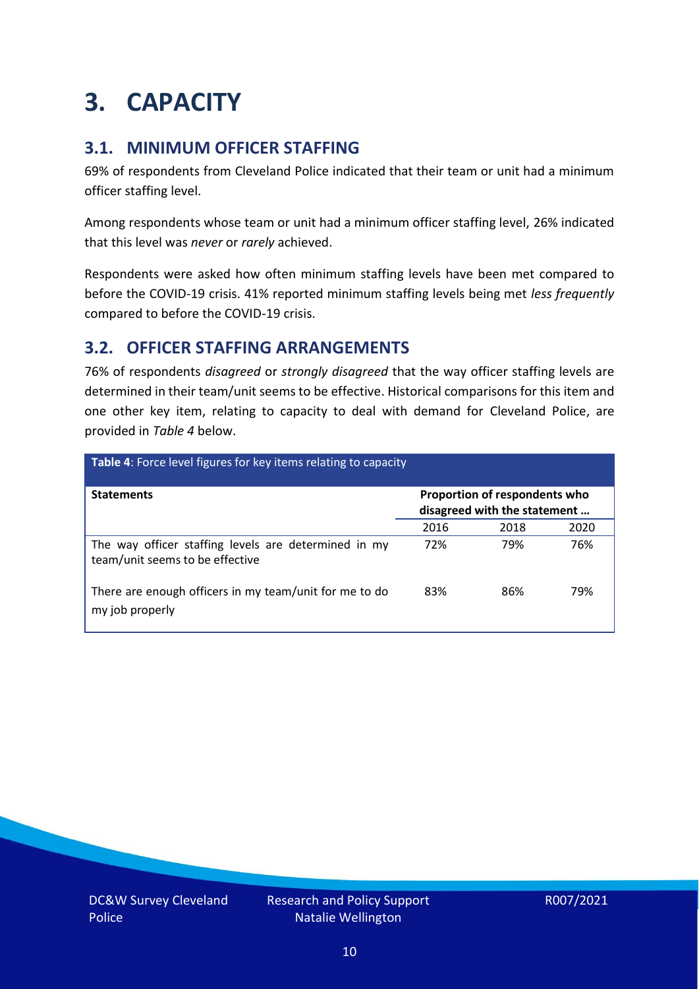## <span id="page-9-0"></span>**3. CAPACITY**

### **3.1. MINIMUM OFFICER STAFFING**

69% of respondents from Cleveland Police indicated that their team or unit had a minimum officer staffing level.

Among respondents whose team or unit had a minimum officer staffing level, 26% indicated that this level was *never* or *rarely* achieved.

Respondents were asked how often minimum staffing levels have been met compared to before the COVID-19 crisis. 41% reported minimum staffing levels being met *less frequently* compared to before the COVID-19 crisis.

### **3.2. OFFICER STAFFING ARRANGEMENTS**

76% of respondents *disagreed* or *strongly disagreed* that the way officer staffing levels are determined in their team/unit seems to be effective. Historical comparisons for this item and one other key item, relating to capacity to deal with demand for Cleveland Police, are provided in *Table 4* below.

| Table 4: Force level figures for key items relating to capacity                         |                                                               |      |      |  |
|-----------------------------------------------------------------------------------------|---------------------------------------------------------------|------|------|--|
| <b>Statements</b>                                                                       | Proportion of respondents who<br>disagreed with the statement |      |      |  |
|                                                                                         | 2016                                                          | 2018 | 2020 |  |
| The way officer staffing levels are determined in my<br>team/unit seems to be effective | 72%                                                           | 79%  | 76%  |  |
| There are enough officers in my team/unit for me to do<br>my job properly               | 83%                                                           | 86%  | 79%  |  |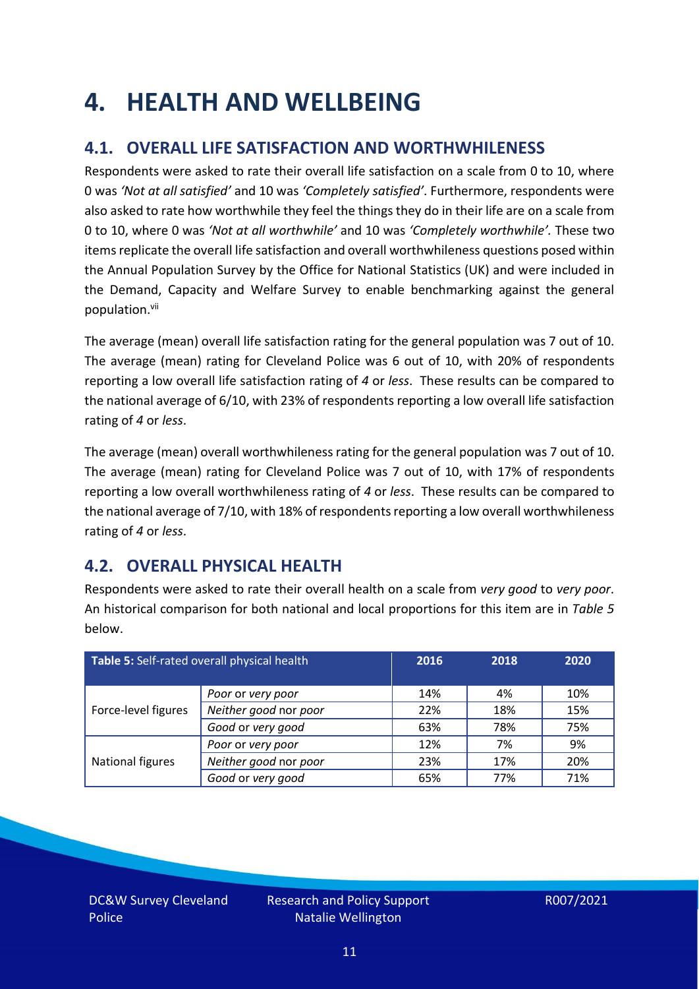### <span id="page-10-0"></span>**4. HEALTH AND WELLBEING**

### **4.1. OVERALL LIFE SATISFACTION AND WORTHWHILENESS**

Respondents were asked to rate their overall life satisfaction on a scale from 0 to 10, where 0 was *'Not at all satisfied'* and 10 was *'Completely satisfied'*. Furthermore, respondents were also asked to rate how worthwhile they feel the things they do in their life are on a scale from 0 to 10, where 0 was *'Not at all worthwhile'* and 10 was *'Completely worthwhile'.* These two items replicate the overall life satisfaction and overall worthwhileness questions posed within the Annual Population Survey by the Office for National Statistics (UK) and were included in the Demand, Capacity and Welfare Survey to enable benchmarking against the general population. vii

The average (mean) overall life satisfaction rating for the general population was 7 out of 10. The average (mean) rating for Cleveland Police was 6 out of 10, with 20% of respondents reporting a low overall life satisfaction rating of *4* or *less*. These results can be compared to the national average of 6/10, with 23% of respondents reporting a low overall life satisfaction rating of *4* or *less*.

The average (mean) overall worthwhileness rating for the general population was 7 out of 10. The average (mean) rating for Cleveland Police was 7 out of 10, with 17% of respondents reporting a low overall worthwhileness rating of *4* or *less*. These results can be compared to the national average of 7/10, with 18% of respondents reporting a low overall worthwhileness rating of *4* or *less*.

### **4.2. OVERALL PHYSICAL HEALTH**

Respondents were asked to rate their overall health on a scale from *very good* to *very poor*. An historical comparison for both national and local proportions for this item are in *Table 5* below.

| Table 5: Self-rated overall physical health<br>2016 |                       | 2018 | 2020 |     |
|-----------------------------------------------------|-----------------------|------|------|-----|
|                                                     | Poor or very poor     | 14%  | 4%   | 10% |
| Force-level figures                                 | Neither good nor poor | 22%  | 18%  | 15% |
|                                                     | Good or very good     | 63%  | 78%  | 75% |
|                                                     | Poor or very poor     | 12%  | 7%   | 9%  |
| National figures                                    | Neither good nor poor | 23%  | 17%  | 20% |
|                                                     | Good or very good     | 65%  | 77%  | 71% |

DC&W Survey Cleveland Police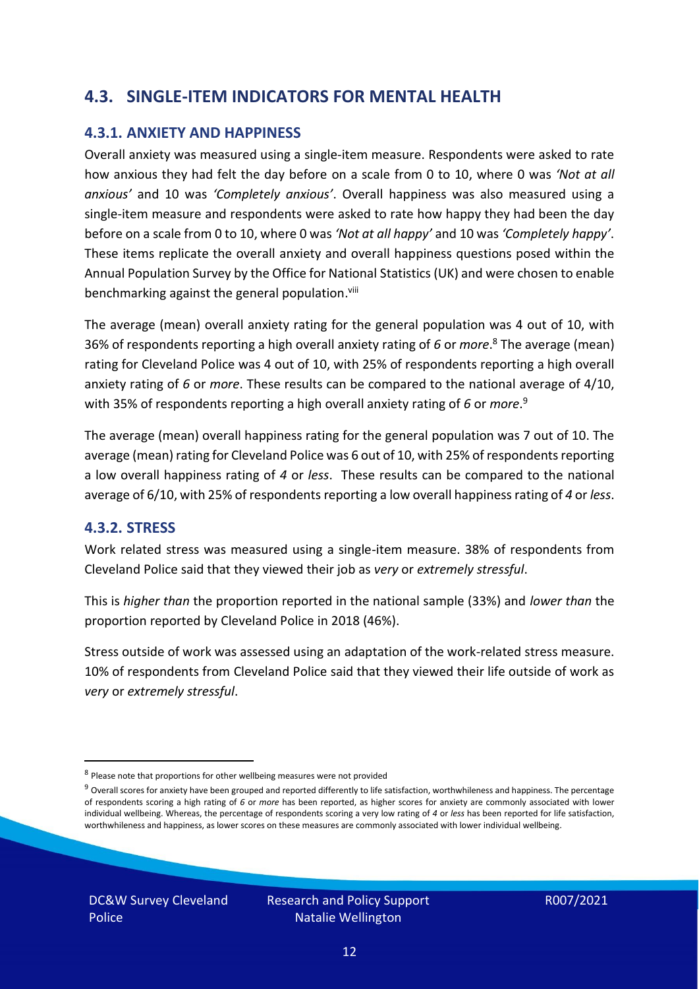#### **4.3. SINGLE-ITEM INDICATORS FOR MENTAL HEALTH**

#### **4.3.1. ANXIETY AND HAPPINESS**

Overall anxiety was measured using a single-item measure. Respondents were asked to rate how anxious they had felt the day before on a scale from 0 to 10, where 0 was *'Not at all anxious'* and 10 was *'Completely anxious'*. Overall happiness was also measured using a single-item measure and respondents were asked to rate how happy they had been the day before on a scale from 0 to 10, where 0 was *'Not at all happy'* and 10 was *'Completely happy'*. These items replicate the overall anxiety and overall happiness questions posed within the Annual Population Survey by the Office for National Statistics (UK) and were chosen to enable benchmarking against the general population.<sup>viii</sup>

The average (mean) overall anxiety rating for the general population was 4 out of 10, with 36% of respondents reporting a high overall anxiety rating of *6* or *more*. <sup>8</sup> The average (mean) rating for Cleveland Police was 4 out of 10, with 25% of respondents reporting a high overall anxiety rating of *6* or *more*. These results can be compared to the national average of 4/10, with 35% of respondents reporting a high overall anxiety rating of *6* or *more*. 9

The average (mean) overall happiness rating for the general population was 7 out of 10. The average (mean) rating for Cleveland Police was 6 out of 10, with 25% of respondents reporting a low overall happiness rating of *4* or *less*. These results can be compared to the national average of 6/10, with 25% of respondents reporting a low overall happinessrating of *4* or *less*.

#### **4.3.2. STRESS**

Work related stress was measured using a single-item measure. 38% of respondents from Cleveland Police said that they viewed their job as *very* or *extremely stressful*.

This is *higher than* the proportion reported in the national sample (33%) and *lower than* the proportion reported by Cleveland Police in 2018 (46%).

Stress outside of work was assessed using an adaptation of the work-related stress measure. 10% of respondents from Cleveland Police said that they viewed their life outside of work as *very* or *extremely stressful*.

DC&W Survey Cleveland Police

<sup>&</sup>lt;sup>8</sup> Please note that proportions for other wellbeing measures were not provided

 $9$  Overall scores for anxiety have been grouped and reported differently to life satisfaction, worthwhileness and happiness. The percentage of respondents scoring a high rating of *6* or *more* has been reported, as higher scores for anxiety are commonly associated with lower individual wellbeing. Whereas, the percentage of respondents scoring a very low rating of *4* or *less* has been reported for life satisfaction, worthwhileness and happiness, as lower scores on these measures are commonly associated with lower individual wellbeing.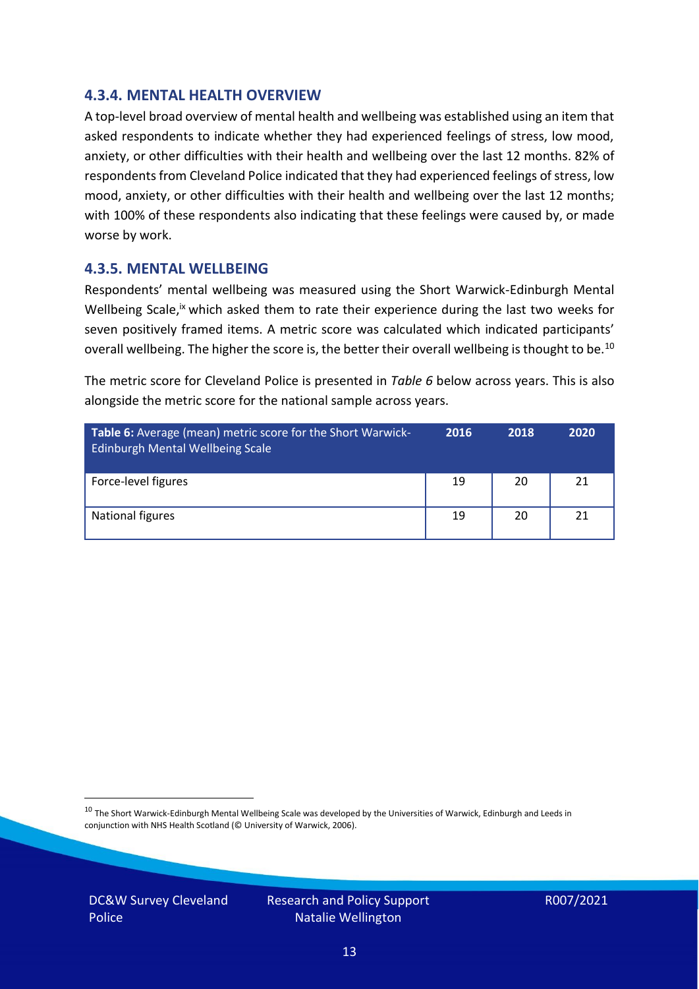#### **4.3.4. MENTAL HEALTH OVERVIEW**

A top-level broad overview of mental health and wellbeing was established using an item that asked respondents to indicate whether they had experienced feelings of stress, low mood, anxiety, or other difficulties with their health and wellbeing over the last 12 months. 82% of respondents from Cleveland Police indicated that they had experienced feelings of stress, low mood, anxiety, or other difficulties with their health and wellbeing over the last 12 months; with 100% of these respondents also indicating that these feelings were caused by, or made worse by work.

#### **4.3.5. MENTAL WELLBEING**

Respondents' mental wellbeing was measured using the Short Warwick-Edinburgh Mental Wellbeing Scale,<sup>ix</sup> which asked them to rate their experience during the last two weeks for seven positively framed items. A metric score was calculated which indicated participants' overall wellbeing. The higher the score is, the better their overall wellbeing is thought to be.<sup>10</sup>

The metric score for Cleveland Police is presented in *Table 6* below across years. This is also alongside the metric score for the national sample across years.

| <b>Table 6:</b> Average (mean) metric score for the Short Warwick-<br>Edinburgh Mental Wellbeing Scale | 2016 | 2018 | 2020 |
|--------------------------------------------------------------------------------------------------------|------|------|------|
| Force-level figures                                                                                    | 19   | 20   | 21   |
| National figures                                                                                       | 19   | 20   | 21   |

 $10$  The Short Warwick-Edinburgh Mental Wellbeing Scale was developed by the Universities of Warwick, Edinburgh and Leeds in conjunction with NHS Health Scotland (© University of Warwick, 2006).

DC&W Survey Cleveland Police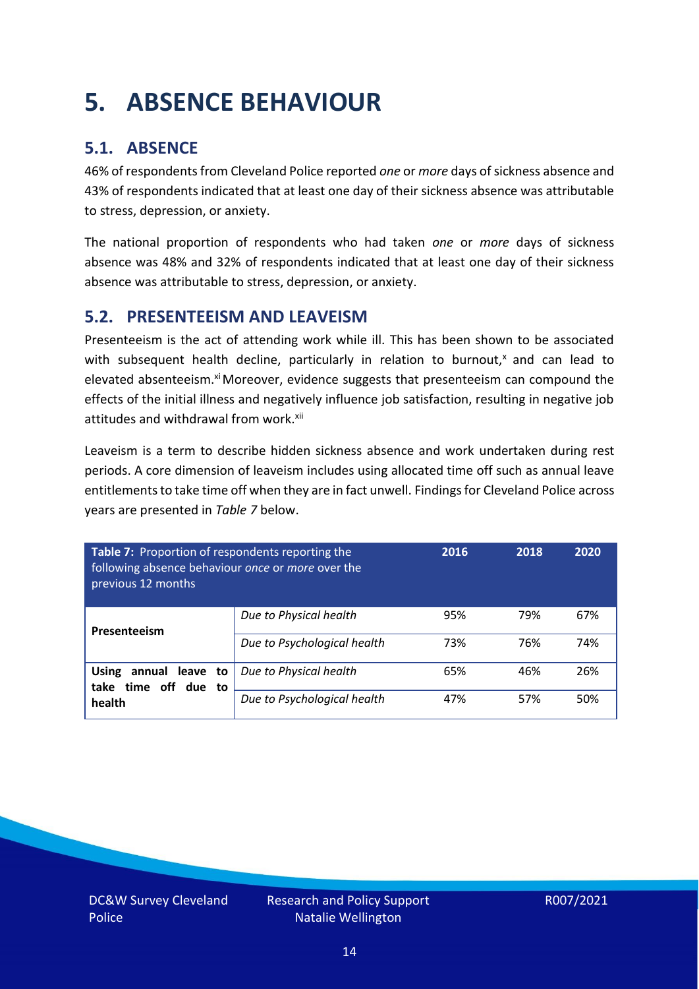# <span id="page-13-0"></span>**5. ABSENCE BEHAVIOUR**

### **5.1. ABSENCE**

46% of respondents from Cleveland Police reported *one* or *more* days of sickness absence and 43% of respondents indicated that at least one day of their sickness absence was attributable to stress, depression, or anxiety.

The national proportion of respondents who had taken *one* or *more* days of sickness absence was 48% and 32% of respondents indicated that at least one day of their sickness absence was attributable to stress, depression, or anxiety.

#### **5.2. PRESENTEEISM AND LEAVEISM**

Presenteeism is the act of attending work while ill. This has been shown to be associated with subsequent health decline, particularly in relation to burnout, $x$  and can lead to elevated absenteeism.<sup>xi</sup> Moreover, evidence suggests that presenteeism can compound the effects of the initial illness and negatively influence job satisfaction, resulting in negative job attitudes and withdrawal from work.<sup>xii</sup>

Leaveism is a term to describe hidden sickness absence and work undertaken during rest periods. A core dimension of leaveism includes using allocated time off such as annual leave entitlements to take time off when they are in fact unwell. Findings for Cleveland Police across years are presented in *Table 7* below.

| Table 7: Proportion of respondents reporting the<br>following absence behaviour once or more over the<br>previous 12 months |                             | 2016 | 2018 | 2020 |
|-----------------------------------------------------------------------------------------------------------------------------|-----------------------------|------|------|------|
| Presenteeism                                                                                                                | Due to Physical health      | 95%  | 79%  | 67%  |
|                                                                                                                             | Due to Psychological health | 73%  | 76%  | 74%  |
| <b>Using</b><br>annual leave to<br>time off due to<br>take<br>health                                                        | Due to Physical health      | 65%  | 46%  | 26%  |
|                                                                                                                             | Due to Psychological health | 47%  | 57%  | 50%  |

DC&W Survey Cleveland Police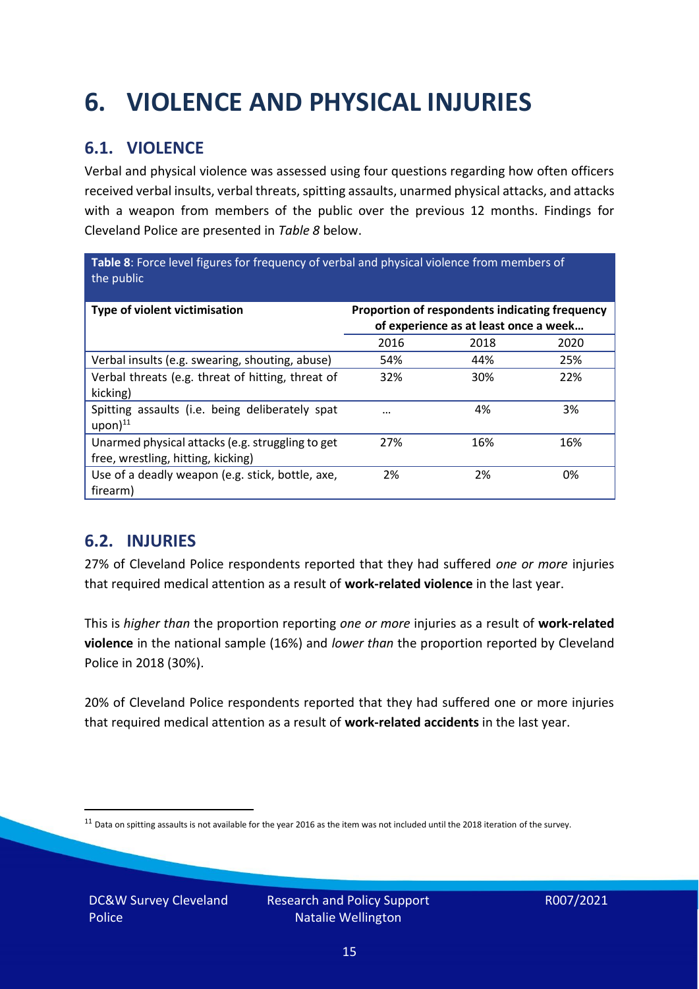# <span id="page-14-0"></span>**6. VIOLENCE AND PHYSICAL INJURIES**

### **6.1. VIOLENCE**

Verbal and physical violence was assessed using four questions regarding how often officers received verbal insults, verbal threats, spitting assaults, unarmed physical attacks, and attacks with a weapon from members of the public over the previous 12 months. Findings for Cleveland Police are presented in *Table 8* below.

**Table 8**: Force level figures for frequency of verbal and physical violence from members of the public

| Type of violent victimisation                                                          | Proportion of respondents indicating frequency<br>of experience as at least once a week |      |      |
|----------------------------------------------------------------------------------------|-----------------------------------------------------------------------------------------|------|------|
|                                                                                        | 2016                                                                                    | 2018 | 2020 |
| Verbal insults (e.g. swearing, shouting, abuse)                                        | 54%                                                                                     | 44%  | 25%  |
| Verbal threats (e.g. threat of hitting, threat of<br>kicking)                          | 32%                                                                                     | 30%  | 22%  |
| Spitting assaults (i.e. being deliberately spat<br>$upon)$ <sup>11</sup>               | $\cdots$                                                                                | 4%   | 3%   |
| Unarmed physical attacks (e.g. struggling to get<br>free, wrestling, hitting, kicking) | 27%                                                                                     | 16%  | 16%  |
| Use of a deadly weapon (e.g. stick, bottle, axe,<br>firearm)                           | 2%                                                                                      | 2%   | 0%   |

### **6.2. INJURIES**

27% of Cleveland Police respondents reported that they had suffered *one or more* injuries that required medical attention as a result of **work-related violence** in the last year.

This is *higher than* the proportion reporting *one or more* injuries as a result of **work-related violence** in the national sample (16%) and *lower than* the proportion reported by Cleveland Police in 2018 (30%).

20% of Cleveland Police respondents reported that they had suffered one or more injuries that required medical attention as a result of **work-related accidents** in the last year.

 $11$  Data on spitting assaults is not available for the year 2016 as the item was not included until the 2018 iteration of the survey.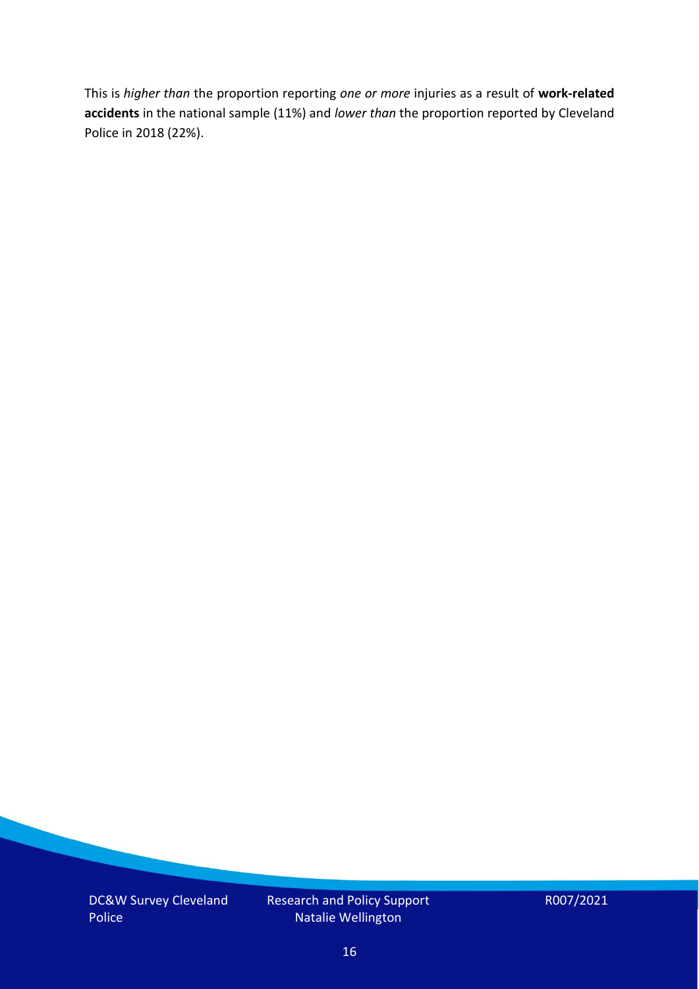This is *higher than* the proportion reporting *one or more* injuries as a result of **work-related accidents** in the national sample (11%) and *lower than* the proportion reported by Cleveland Police in 2018 (22%).

DC&W Survey Cleveland Police

Research and Policy Support Natalie Wellington

R007/2021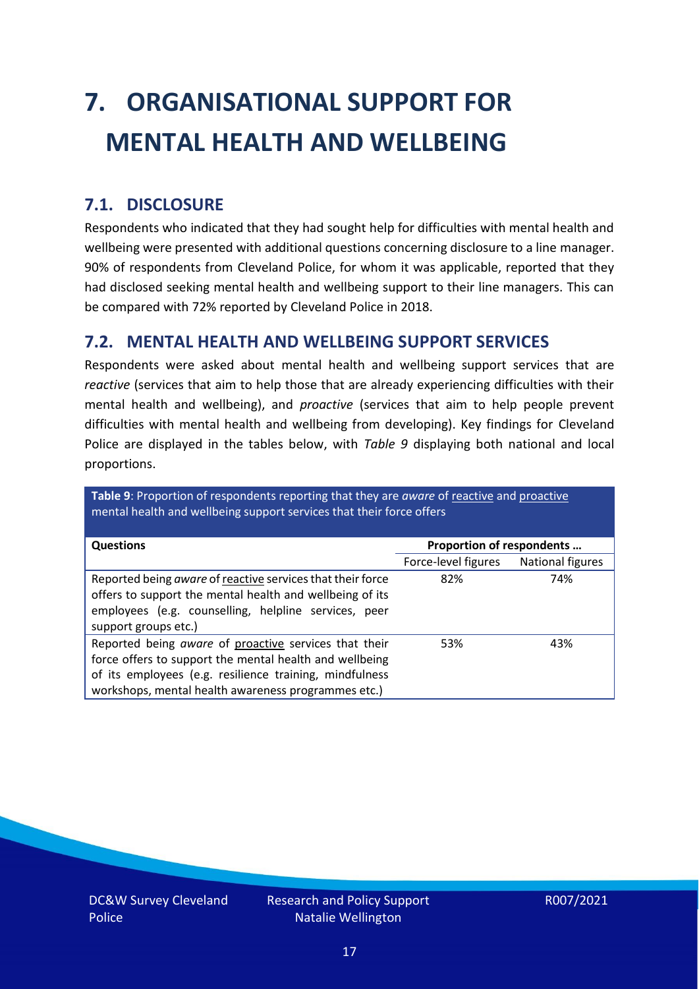# <span id="page-16-0"></span>**7. ORGANISATIONAL SUPPORT FOR MENTAL HEALTH AND WELLBEING**

### **7.1. DISCLOSURE**

Respondents who indicated that they had sought help for difficulties with mental health and wellbeing were presented with additional questions concerning disclosure to a line manager. 90% of respondents from Cleveland Police, for whom it was applicable, reported that they had disclosed seeking mental health and wellbeing support to their line managers. This can be compared with 72% reported by Cleveland Police in 2018.

#### **7.2. MENTAL HEALTH AND WELLBEING SUPPORT SERVICES**

Respondents were asked about mental health and wellbeing support services that are *reactive* (services that aim to help those that are already experiencing difficulties with their mental health and wellbeing), and *proactive* (services that aim to help people prevent difficulties with mental health and wellbeing from developing). Key findings for Cleveland Police are displayed in the tables below, with *Table 9* displaying both national and local proportions.

**Table 9**: Proportion of respondents reporting that they are *aware* of reactive and proactive mental health and wellbeing support services that their force offers

| <b>Questions</b>                                           |                           |                  |
|------------------------------------------------------------|---------------------------|------------------|
|                                                            | Proportion of respondents |                  |
|                                                            | Force-level figures       | National figures |
| Reported being aware of reactive services that their force | 82%                       | 74%              |
| offers to support the mental health and wellbeing of its   |                           |                  |
| employees (e.g. counselling, helpline services, peer       |                           |                  |
|                                                            |                           |                  |
| support groups etc.)                                       |                           |                  |
| Reported being aware of proactive services that their      | 53%                       | 43%              |
| force offers to support the mental health and wellbeing    |                           |                  |
| of its employees (e.g. resilience training, mindfulness    |                           |                  |
| workshops, mental health awareness programmes etc.)        |                           |                  |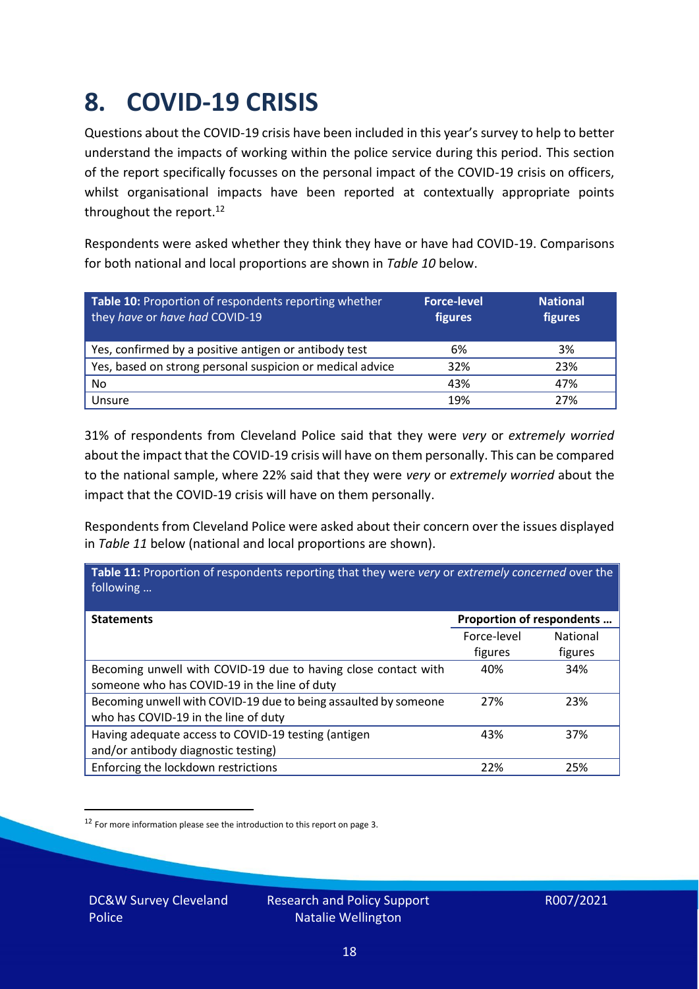### <span id="page-17-0"></span>**8. COVID-19 CRISIS**

Questions about the COVID-19 crisis have been included in this year's survey to help to better understand the impacts of working within the police service during this period. This section of the report specifically focusses on the personal impact of the COVID-19 crisis on officers, whilst organisational impacts have been reported at contextually appropriate points throughout the report.<sup>12</sup>

Respondents were asked whether they think they have or have had COVID-19. Comparisons for both national and local proportions are shown in *Table 10* below.

| Table 10: Proportion of respondents reporting whether<br>they have or have had COVID-19 | <b>Force-level</b><br>figures | <b>National</b><br>figures |
|-----------------------------------------------------------------------------------------|-------------------------------|----------------------------|
| Yes, confirmed by a positive antigen or antibody test                                   | 6%                            | 3%                         |
| Yes, based on strong personal suspicion or medical advice                               | 32%                           | 23%                        |
| No                                                                                      | 43%                           | 47%                        |
| Unsure                                                                                  | 19%                           | 27%                        |

31% of respondents from Cleveland Police said that they were *very* or *extremely worried* about the impact that the COVID-19 crisis will have on them personally. This can be compared to the national sample, where 22% said that they were *very* or *extremely worried* about the impact that the COVID-19 crisis will have on them personally.

Respondents from Cleveland Police were asked about their concern over the issues displayed in *Table 11* below (national and local proportions are shown).

| Table 11: Proportion of respondents reporting that they were very or extremely concerned over the<br>following |                           |                 |
|----------------------------------------------------------------------------------------------------------------|---------------------------|-----------------|
| <b>Statements</b>                                                                                              | Proportion of respondents |                 |
|                                                                                                                | Force-level               | <b>National</b> |
|                                                                                                                | figures                   | figures         |
| Becoming unwell with COVID-19 due to having close contact with                                                 | 40%                       | 34%             |
| someone who has COVID-19 in the line of duty                                                                   |                           |                 |
| Becoming unwell with COVID-19 due to being assaulted by someone                                                | 27%                       | 23%             |
| who has COVID-19 in the line of duty                                                                           |                           |                 |
| Having adequate access to COVID-19 testing (antigen                                                            | 43%                       | 37%             |
| and/or antibody diagnostic testing)                                                                            |                           |                 |
| Enforcing the lockdown restrictions                                                                            | 22%                       | 25%             |

<sup>12</sup> For more information please see the introduction to this report on page 3.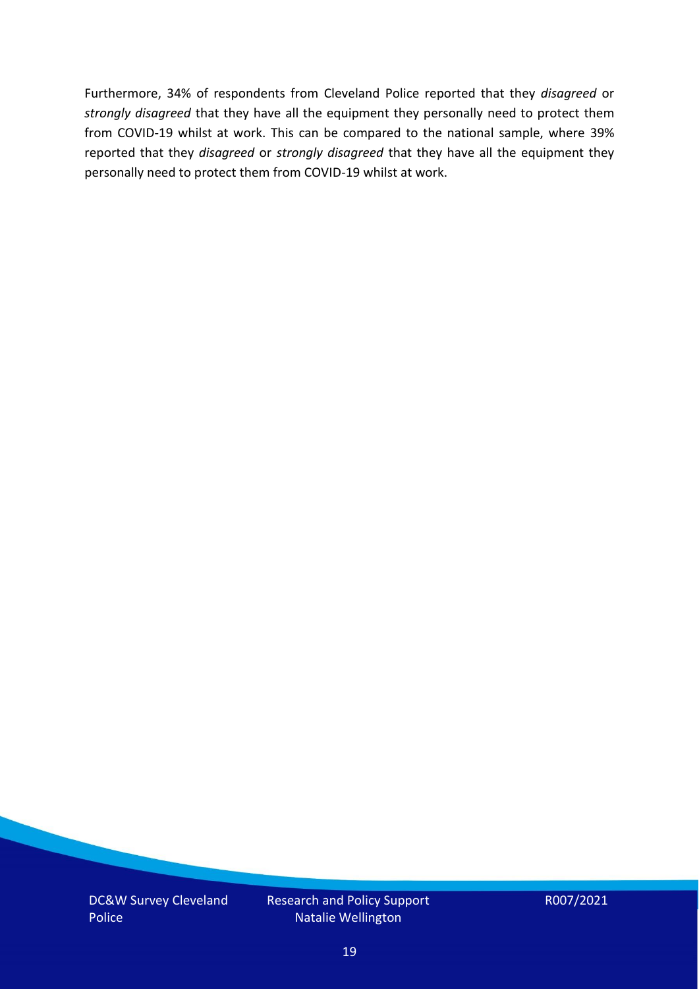Furthermore, 34% of respondents from Cleveland Police reported that they *disagreed* or *strongly disagreed* that they have all the equipment they personally need to protect them from COVID-19 whilst at work. This can be compared to the national sample, where 39% reported that they *disagreed* or *strongly disagreed* that they have all the equipment they personally need to protect them from COVID-19 whilst at work.

DC&W Survey Cleveland Police

Research and Policy Support Natalie Wellington

R007/2021